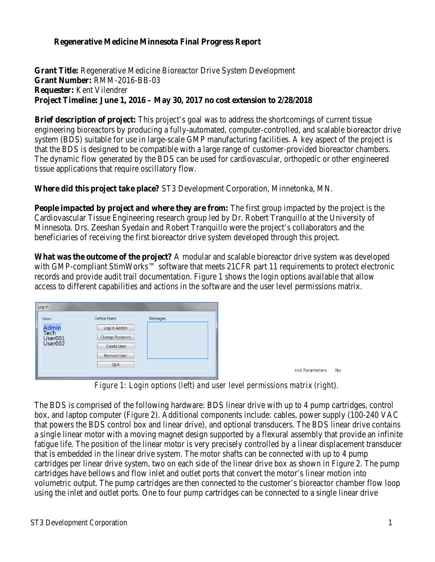## **Regenerative Medicine Minnesota Final Progress Report**

**Grant Title:** Regenerative Medicine Bioreactor Drive System Development **Grant Number:** RMM-2016-BB-03 **Requester:** Kent Vilendrer **Project Timeline: June 1, 2016 – May 30, 2017 no cost extension to 2/28/2018** 

**Brief description of project:** This project's goal was to address the shortcomings of current tissue engineering bioreactors by producing a fully-automated, computer-controlled, and scalable bioreactor drive system (BDS) suitable for use in large-scale GMP manufacturing facilities. A key aspect of the project is that the BDS is designed to be compatible with a large range of customer-provided bioreactor chambers. The dynamic flow generated by the BDS can be used for cardiovascular, orthopedic or other engineered tissue applications that require oscillatory flow.

**Where did this project take place?** ST3 Development Corporation, Minnetonka, MN.

**People impacted by project and where they are from:** The first group impacted by the project is the Cardiovascular Tissue Engineering research group led by Dr. Robert Tranquillo at the University of Minnesota. Drs. Zeeshan Syedain and Robert Tranquillo were the project's collaborators and the beneficiaries of receiving the first bioreactor drive system developed through this project.

**What was the outcome of the project?** A modular and scalable bioreactor drive system was developed with GMP-compliant StimWorks™ software that meets 21CFR part 11 requirements to protect electronic records and provide audit trail documentation. Figure 1 shows the login options available that allow access to different capabilities and actions in the software and the user level permissions matrix.

*Figure 1: Login options (left) and user level permissions matrix (right).*

The BDS is comprised of the following hardware: BDS linear drive with up to 4 pump cartridges, control box, and laptop computer (Figure 2). Additional components include: cables, power supply (100-240 VAC that powers the BDS control box and linear drive), and optional transducers. The BDS linear drive contains a single linear motor with a moving magnet design supported by a flexural assembly that provide an infinite fatigue life. The position of the linear motor is very precisely controlled by a linear displacement transducer that is embedded in the linear drive system. The motor shafts can be connected with up to 4 pump cartridges per linear drive system, two on each side of the linear drive box as shown in Figure 2. The pump cartridges have bellows and flow inlet and outlet ports that convert the motor's linear motion into volumetric output. The pump cartridges are then connected to the customer's bioreactor chamber flow loop using the inlet and outlet ports. One to four pump cartridges can be connected to a single linear drive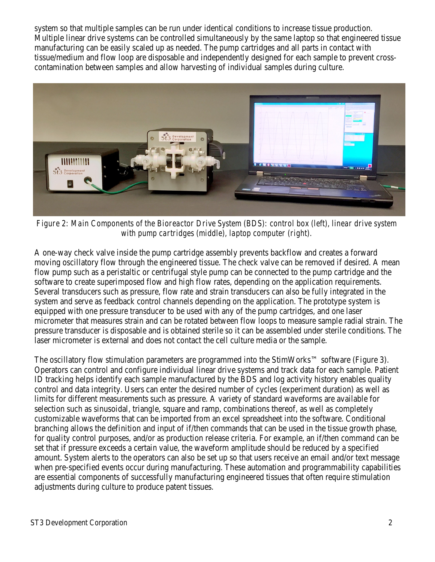system so that multiple samples can be run under identical conditions to increase tissue production. Multiple linear drive systems can be controlled simultaneously by the same laptop so that engineered tissue manufacturing can be easily scaled up as needed. The pump cartridges and all parts in contact with tissue/medium and flow loop are disposable and independently designed for each sample to prevent crosscontamination between samples and allow harvesting of individual samples during culture.



*Figure 2: Main Components of the Bioreactor Drive System (BDS): control box (left), linear drive system with pump cartridges (middle), laptop computer (right).*

A one-way check valve inside the pump cartridge assembly prevents backflow and creates a forward moving oscillatory flow through the engineered tissue. The check valve can be removed if desired. A mean flow pump such as a peristaltic or centrifugal style pump can be connected to the pump cartridge and the software to create superimposed flow and high flow rates, depending on the application requirements. Several transducers such as pressure, flow rate and strain transducers can also be fully integrated in the system and serve as feedback control channels depending on the application. The prototype system is equipped with one pressure transducer to be used with any of the pump cartridges, and one laser micrometer that measures strain and can be rotated between flow loops to measure sample radial strain. The pressure transducer is disposable and is obtained sterile so it can be assembled under sterile conditions. The laser micrometer is external and does not contact the cell culture media or the sample.

The oscillatory flow stimulation parameters are programmed into the StimWorks™ software (Figure 3). Operators can control and configure individual linear drive systems and track data for each sample. Patient ID tracking helps identify each sample manufactured by the BDS and log activity history enables quality control and data integrity. Users can enter the desired number of cycles (experiment duration) as well as limits for different measurements such as pressure. A variety of standard waveforms are available for selection such as sinusoidal, triangle, square and ramp, combinations thereof, as well as completely customizable waveforms that can be imported from an excel spreadsheet into the software. Conditional branching allows the definition and input of if/then commands that can be used in the tissue growth phase, for quality control purposes, and/or as production release criteria. For example, an if/then command can be set that if pressure exceeds a certain value, the waveform amplitude should be reduced by a specified amount. System alerts to the operators can also be set up so that users receive an email and/or text message when pre-specified events occur during manufacturing. These automation and programmability capabilities are essential components of successfully manufacturing engineered tissues that often require stimulation adjustments during culture to produce patent tissues.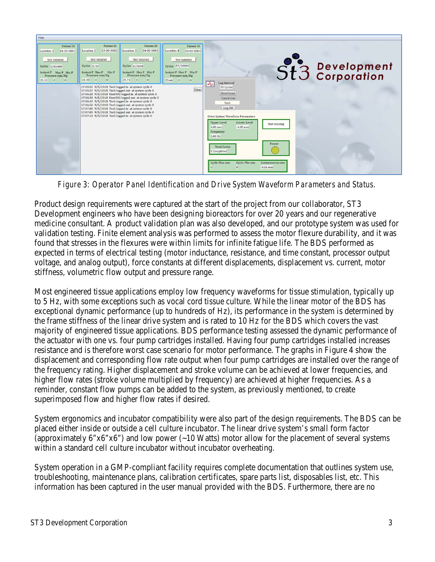

*Figure 3: Operator Panel Identification and Drive System Waveform Parameters and Status.* 

Product design requirements were captured at the start of the project from our collaborator, ST3 Development engineers who have been designing bioreactors for over 20 years and our regenerative medicine consultant. A product validation plan was also developed, and our prototype system was used for validation testing. Finite element analysis was performed to assess the motor flexure durability, and it was found that stresses in the flexures were within limits for infinite fatigue life. The BDS performed as expected in terms of electrical testing (motor inductance, resistance, and time constant, processor output voltage, and analog output), force constants at different displacements, displacement vs. current, motor stiffness, volumetric flow output and pressure range.

Most engineered tissue applications employ low frequency waveforms for tissue stimulation, typically up to 5 Hz, with some exceptions such as vocal cord tissue culture. While the linear motor of the BDS has exceptional dynamic performance (up to hundreds of Hz), its performance in the system is determined by the frame stiffness of the linear drive system and is rated to 10 Hz for the BDS which covers the vast majority of engineered tissue applications. BDS performance testing assessed the dynamic performance of the actuator with one vs. four pump cartridges installed. Having four pump cartridges installed increases resistance and is therefore worst case scenario for motor performance. The graphs in Figure 4 show the displacement and corresponding flow rate output when four pump cartridges are installed over the range of the frequency rating. Higher displacement and stroke volume can be achieved at lower frequencies, and higher flow rates (stroke volume multiplied by frequency) are achieved at higher frequencies. As a reminder, constant flow pumps can be added to the system, as previously mentioned, to create superimposed flow and higher flow rates if desired.

System ergonomics and incubator compatibility were also part of the design requirements. The BDS can be placed either inside or outside a cell culture incubator. The linear drive system's small form factor (approximately 6"x6"x6") and low power (~10 Watts) motor allow for the placement of several systems within a standard cell culture incubator without incubator overheating.

System operation in a GMP-compliant facility requires complete documentation that outlines system use, troubleshooting, maintenance plans, calibration certificates, spare parts list, disposables list, etc. This information has been captured in the user manual provided with the BDS. Furthermore, there are no